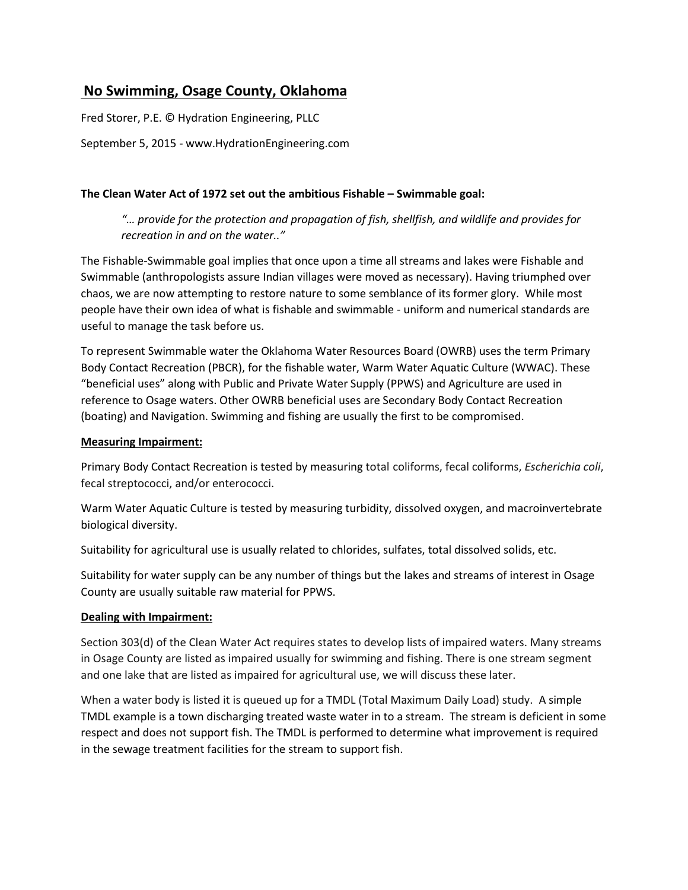# **No Swimming, Osage County, Oklahoma**

Fred Storer, P.E. © Hydration Engineering, PLLC

September 5, 2015 - www.HydrationEngineering.com

## **The Clean Water Act of 1972 set out the ambitious Fishable – Swimmable goal:**

*"… provide for the protection and propagation of fish, shellfish, and wildlife and provides for recreation in and on the water.."* 

The Fishable-Swimmable goal implies that once upon a time all streams and lakes were Fishable and Swimmable (anthropologists assure Indian villages were moved as necessary). Having triumphed over chaos, we are now attempting to restore nature to some semblance of its former glory. While most people have their own idea of what is fishable and swimmable - uniform and numerical standards are useful to manage the task before us.

To represent Swimmable water the Oklahoma Water Resources Board (OWRB) uses the term Primary Body Contact Recreation (PBCR), for the fishable water, Warm Water Aquatic Culture (WWAC). These "beneficial uses" along with Public and Private Water Supply (PPWS) and Agriculture are used in reference to Osage waters. Other OWRB beneficial uses are Secondary Body Contact Recreation (boating) and Navigation. Swimming and fishing are usually the first to be compromised.

### **Measuring Impairment:**

Primary Body Contact Recreation is tested by measuring total coliforms, fecal coliforms, *Escherichia coli*, fecal streptococci, and/or enterococci.

Warm Water Aquatic Culture is tested by measuring turbidity, dissolved oxygen, and macroinvertebrate biological diversity.

Suitability for agricultural use is usually related to chlorides, sulfates, total dissolved solids, etc.

Suitability for water supply can be any number of things but the lakes and streams of interest in Osage County are usually suitable raw material for PPWS.

### **Dealing with Impairment:**

Section 303(d) of the Clean Water Act requires states to develop lists of impaired waters. Many streams in Osage County are listed as impaired usually for swimming and fishing. There is one stream segment and one lake that are listed as impaired for agricultural use, we will discuss these later.

When a water body is listed it is queued up for a TMDL (Total Maximum Daily Load) study. A simple TMDL example is a town discharging treated waste water in to a stream. The stream is deficient in some respect and does not support fish. The TMDL is performed to determine what improvement is required in the sewage treatment facilities for the stream to support fish.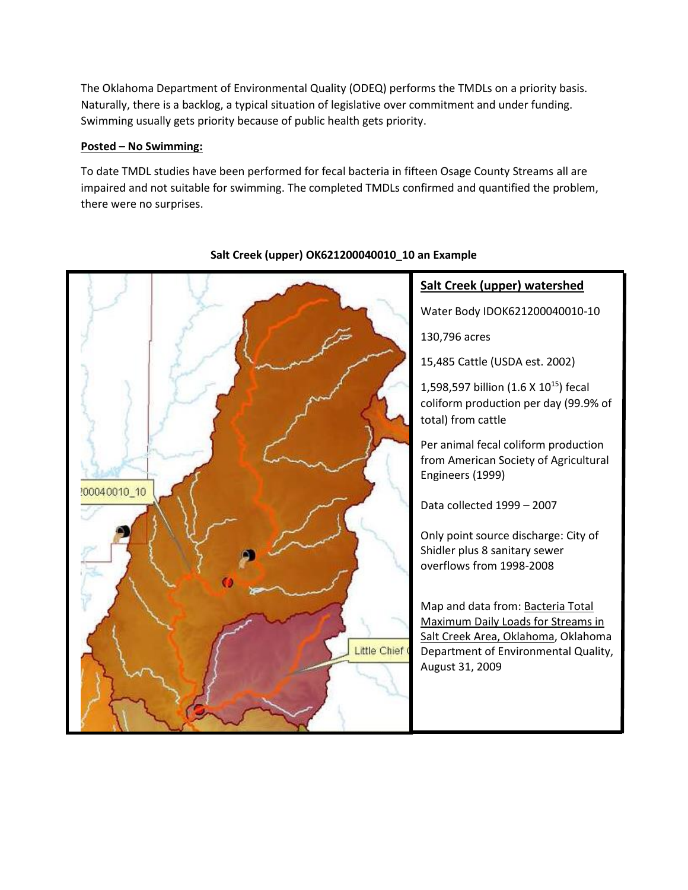The Oklahoma Department of Environmental Quality (ODEQ) performs the TMDLs on a priority basis. Naturally, there is a backlog, a typical situation of legislative over commitment and under funding. Swimming usually gets priority because of public health gets priority.

# **Posted – No Swimming:**

To date TMDL studies have been performed for fecal bacteria in fifteen Osage County Streams all are impaired and not suitable for swimming. The completed TMDLs confirmed and quantified the problem, there were no surprises.



# **Salt Creek (upper) OK621200040010\_10 an Example**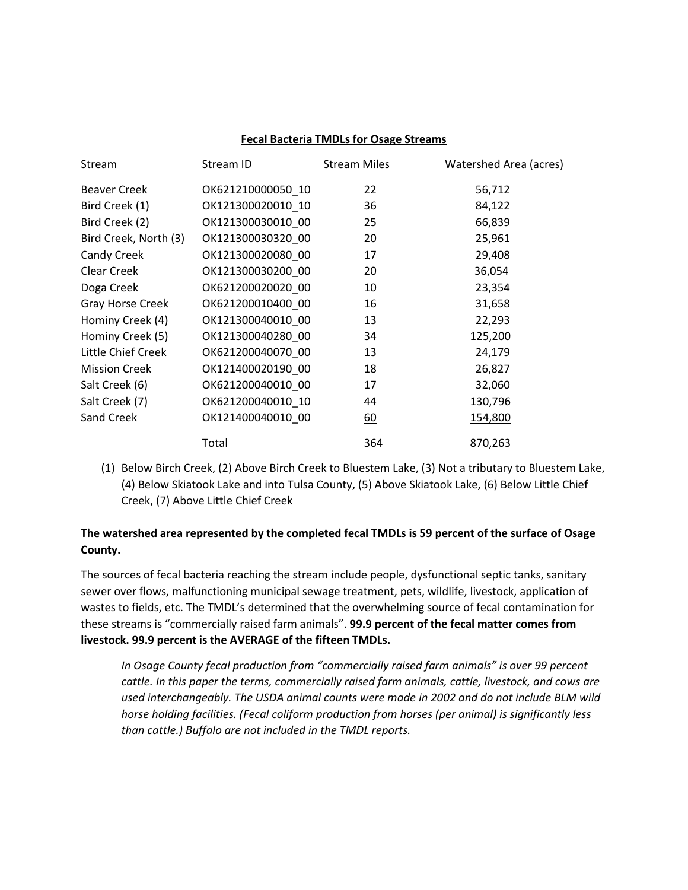#### **Fecal Bacteria TMDLs for Osage Streams**

| Stream                | Stream ID         | <b>Stream Miles</b> | Watershed Area (acres) |
|-----------------------|-------------------|---------------------|------------------------|
| <b>Beaver Creek</b>   | OK621210000050 10 | 22                  | 56,712                 |
| Bird Creek (1)        | OK121300020010 10 | 36                  | 84,122                 |
| Bird Creek (2)        | OK121300030010 00 | 25                  | 66,839                 |
| Bird Creek, North (3) | OK121300030320 00 | 20                  | 25,961                 |
| Candy Creek           | OK121300020080 00 | 17                  | 29,408                 |
| Clear Creek           | OK121300030200 00 | 20                  | 36,054                 |
| Doga Creek            | OK621200020020 00 | 10                  | 23,354                 |
| Gray Horse Creek      | OK621200010400 00 | 16                  | 31,658                 |
| Hominy Creek (4)      | OK121300040010 00 | 13                  | 22,293                 |
| Hominy Creek (5)      | OK121300040280 00 | 34                  | 125,200                |
| Little Chief Creek    | OK621200040070 00 | 13                  | 24,179                 |
| <b>Mission Creek</b>  | OK121400020190 00 | 18                  | 26,827                 |
| Salt Creek (6)        | OK621200040010_00 | 17                  | 32,060                 |
| Salt Creek (7)        | OK621200040010_10 | 44                  | 130,796                |
| Sand Creek            | OK121400040010 00 | 60                  | 154,800                |
|                       | Total             | 364                 | 870,263                |

(1) Below Birch Creek, (2) Above Birch Creek to Bluestem Lake, (3) Not a tributary to Bluestem Lake, (4) Below Skiatook Lake and into Tulsa County, (5) Above Skiatook Lake, (6) Below Little Chief Creek, (7) Above Little Chief Creek

# **The watershed area represented by the completed fecal TMDLs is 59 percent of the surface of Osage County.**

The sources of fecal bacteria reaching the stream include people, dysfunctional septic tanks, sanitary sewer over flows, malfunctioning municipal sewage treatment, pets, wildlife, livestock, application of wastes to fields, etc. The TMDL's determined that the overwhelming source of fecal contamination for these streams is "commercially raised farm animals". **99.9 percent of the fecal matter comes from livestock. 99.9 percent is the AVERAGE of the fifteen TMDLs.**

*In Osage County fecal production from "commercially raised farm animals" is over 99 percent cattle. In this paper the terms, commercially raised farm animals, cattle, livestock, and cows are used interchangeably. The USDA animal counts were made in 2002 and do not include BLM wild horse holding facilities. (Fecal coliform production from horses (per animal) is significantly less than cattle.) Buffalo are not included in the TMDL reports.*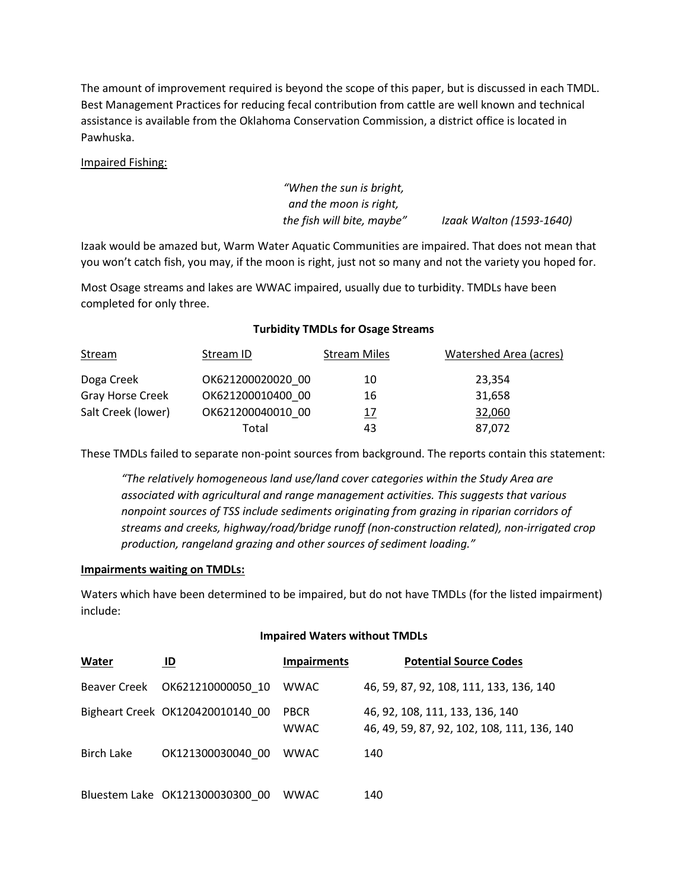The amount of improvement required is beyond the scope of this paper, but is discussed in each TMDL. Best Management Practices for reducing fecal contribution from cattle are well known and technical assistance is available from the Oklahoma Conservation Commission, a district office is located in Pawhuska.

### Impaired Fishing:

*"When the sun is bright, and the moon is right, the fish will bite, maybe" Izaak Walton (1593-1640)*

Izaak would be amazed but, Warm Water Aquatic Communities are impaired. That does not mean that you won't catch fish, you may, if the moon is right, just not so many and not the variety you hoped for.

Most Osage streams and lakes are WWAC impaired, usually due to turbidity. TMDLs have been completed for only three.

#### **Turbidity TMDLs for Osage Streams**

| <b>Stream</b>      | Stream ID         | <b>Stream Miles</b> | Watershed Area (acres) |
|--------------------|-------------------|---------------------|------------------------|
| Doga Creek         | OK621200020020 00 | 10                  | 23,354                 |
| Gray Horse Creek   | OK621200010400 00 | 16                  | 31,658                 |
| Salt Creek (lower) | OK621200040010 00 | <u> 17</u>          | 32,060                 |
|                    | Total             | 43                  | 87,072                 |

These TMDLs failed to separate non-point sources from background. The reports contain this statement:

*"The relatively homogeneous land use/land cover categories within the Study Area are associated with agricultural and range management activities. This suggests that various nonpoint sources of TSS include sediments originating from grazing in riparian corridors of streams and creeks, highway/road/bridge runoff (non-construction related), non-irrigated crop production, rangeland grazing and other sources of sediment loading."*

#### **Impairments waiting on TMDLs:**

Waters which have been determined to be impaired, but do not have TMDLs (for the listed impairment) include:

#### **Impaired Waters without TMDLs**

| Water             | ID                               | <b>Impairments</b>         | <b>Potential Source Codes</b>                                                  |
|-------------------|----------------------------------|----------------------------|--------------------------------------------------------------------------------|
|                   |                                  | <b>WWAC</b>                | 46, 59, 87, 92, 108, 111, 133, 136, 140                                        |
|                   | Bigheart Creek OK120420010140 00 | <b>PBCR</b><br><b>WWAC</b> | 46, 92, 108, 111, 133, 136, 140<br>46, 49, 59, 87, 92, 102, 108, 111, 136, 140 |
| <b>Birch Lake</b> | OK121300030040 00                | <b>WWAC</b>                | 140                                                                            |
|                   | Bluestem Lake OK121300030300 00  | <b>WWAC</b>                | 140                                                                            |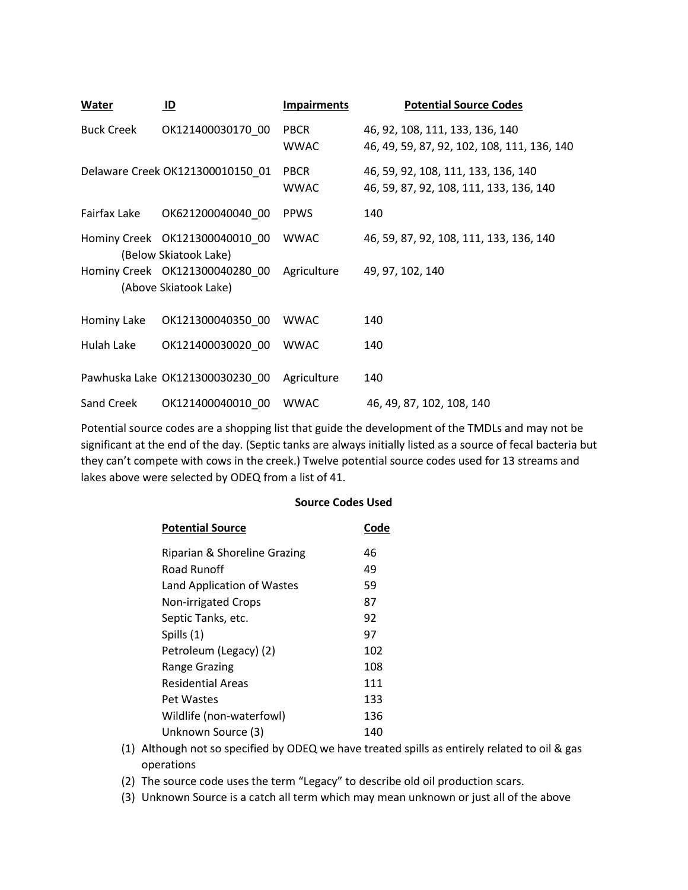| Water             | ID                               | <b>Impairments</b>         | <b>Potential Source Codes</b>                                                  |
|-------------------|----------------------------------|----------------------------|--------------------------------------------------------------------------------|
| <b>Buck Creek</b> | OK121400030170 00                | <b>PBCR</b><br><b>WWAC</b> | 46, 92, 108, 111, 133, 136, 140<br>46, 49, 59, 87, 92, 102, 108, 111, 136, 140 |
|                   | Delaware Creek OK121300010150_01 | <b>PBCR</b><br><b>WWAC</b> | 46, 59, 92, 108, 111, 133, 136, 140<br>46, 59, 87, 92, 108, 111, 133, 136, 140 |
| Fairfax Lake      | OK621200040040 00                | <b>PPWS</b>                | 140                                                                            |
|                   | (Below Skiatook Lake)            | <b>WWAC</b>                | 46, 59, 87, 92, 108, 111, 133, 136, 140                                        |
|                   | (Above Skiatook Lake)            | Agriculture                | 49, 97, 102, 140                                                               |
| Hominy Lake       | OK121300040350 00                | <b>WWAC</b>                | 140                                                                            |
| Hulah Lake        | OK121400030020 00                | <b>WWAC</b>                | 140                                                                            |
|                   | Pawhuska Lake OK121300030230 00  | Agriculture                | 140                                                                            |
| Sand Creek        | OK121400040010 00                | <b>WWAC</b>                | 46, 49, 87, 102, 108, 140                                                      |

Potential source codes are a shopping list that guide the development of the TMDLs and may not be significant at the end of the day. (Septic tanks are always initially listed as a source of fecal bacteria but they can't compete with cows in the creek.) Twelve potential source codes used for 13 streams and lakes above were selected by ODEQ from a list of 41.

**Source Codes Used** 

| <b>Potential Source</b>      | Code |
|------------------------------|------|
| Riparian & Shoreline Grazing | 46   |
| Road Runoff                  | 49   |
| Land Application of Wastes   | 59   |
| <b>Non-irrigated Crops</b>   | 87   |
| Septic Tanks, etc.           | 92   |
| Spills (1)                   | 97   |
| Petroleum (Legacy) (2)       | 102  |
| <b>Range Grazing</b>         | 108  |
| Residential Areas            | 111  |
| Pet Wastes                   | 133  |
| Wildlife (non-waterfowl)     | 136  |
| Unknown Source (3)           | 140  |

- (1) Although not so specified by ODEQ we have treated spills as entirely related to oil & gas operations
- (2) The source code uses the term "Legacy" to describe old oil production scars.
- (3) Unknown Source is a catch all term which may mean unknown or just all of the above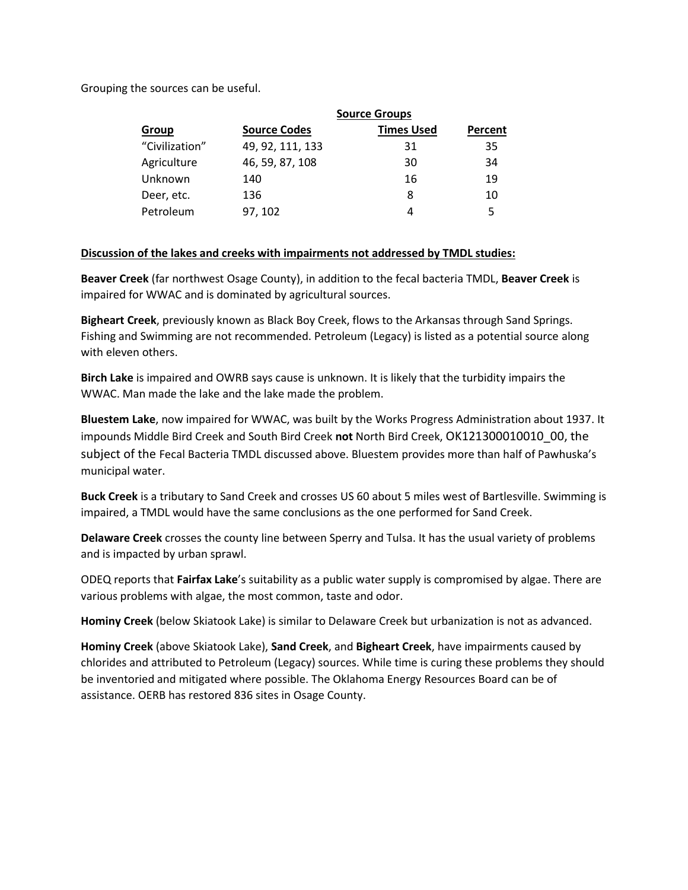Grouping the sources can be useful.

| Group          | <b>Source Groups</b> |                   |         |  |
|----------------|----------------------|-------------------|---------|--|
|                | <b>Source Codes</b>  | <b>Times Used</b> | Percent |  |
| "Civilization" | 49, 92, 111, 133     | 31                | 35      |  |
| Agriculture    | 46, 59, 87, 108      | 30                | 34      |  |
| Unknown        | 140                  | 16                | 19      |  |
| Deer, etc.     | 136                  | 8                 | 10      |  |
| Petroleum      | 97, 102              | 4                 | 5       |  |

## **Discussion of the lakes and creeks with impairments not addressed by TMDL studies:**

**Beaver Creek** (far northwest Osage County), in addition to the fecal bacteria TMDL, **Beaver Creek** is impaired for WWAC and is dominated by agricultural sources.

**Bigheart Creek**, previously known as Black Boy Creek, flows to the Arkansas through Sand Springs. Fishing and Swimming are not recommended. Petroleum (Legacy) is listed as a potential source along with eleven others.

**Birch Lake** is impaired and OWRB says cause is unknown. It is likely that the turbidity impairs the WWAC. Man made the lake and the lake made the problem.

**Bluestem Lake**, now impaired for WWAC, was built by the Works Progress Administration about 1937. It impounds Middle Bird Creek and South Bird Creek **not** North Bird Creek, OK121300010010\_00, the subject of the Fecal Bacteria TMDL discussed above. Bluestem provides more than half of Pawhuska's municipal water.

**Buck Creek** is a tributary to Sand Creek and crosses US 60 about 5 miles west of Bartlesville. Swimming is impaired, a TMDL would have the same conclusions as the one performed for Sand Creek.

**Delaware Creek** crosses the county line between Sperry and Tulsa. It has the usual variety of problems and is impacted by urban sprawl.

ODEQ reports that **Fairfax Lake**'s suitability as a public water supply is compromised by algae. There are various problems with algae, the most common, taste and odor.

**Hominy Creek** (below Skiatook Lake) is similar to Delaware Creek but urbanization is not as advanced.

**Hominy Creek** (above Skiatook Lake), **Sand Creek**, and **Bigheart Creek**, have impairments caused by chlorides and attributed to Petroleum (Legacy) sources. While time is curing these problems they should be inventoried and mitigated where possible. The Oklahoma Energy Resources Board can be of assistance. OERB has restored 836 sites in Osage County.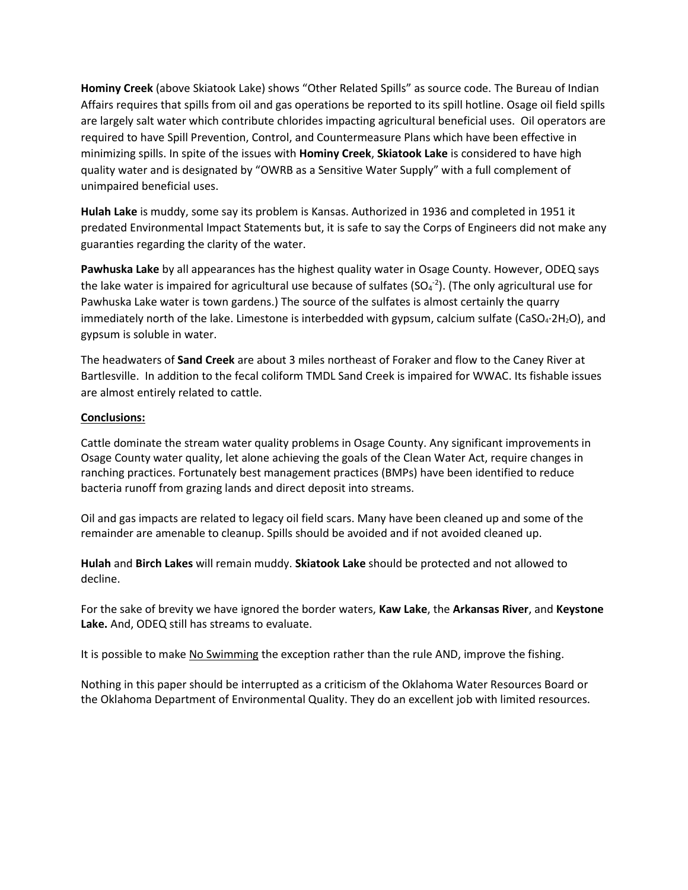**Hominy Creek** (above Skiatook Lake) shows "Other Related Spills" as source code. The Bureau of Indian Affairs requires that spills from oil and gas operations be reported to its spill hotline. Osage oil field spills are largely salt water which contribute chlorides impacting agricultural beneficial uses. Oil operators are required to have Spill Prevention, Control, and Countermeasure Plans which have been effective in minimizing spills. In spite of the issues with **Hominy Creek**, **Skiatook Lake** is considered to have high quality water and is designated by "OWRB as a Sensitive Water Supply" with a full complement of unimpaired beneficial uses.

**Hulah Lake** is muddy, some say its problem is Kansas. Authorized in 1936 and completed in 1951 it predated Environmental Impact Statements but, it is safe to say the Corps of Engineers did not make any guaranties regarding the clarity of the water.

**Pawhuska Lake** by all appearances has the highest quality water in Osage County. However, ODEQ says the lake water is impaired for agricultural use because of sulfates (SO<sub>4</sub><sup>-2</sup>). (The only agricultural use for Pawhuska Lake water is town gardens.) The source of the sulfates is almost certainly the quarry immediately north of the lake. Limestone is interbedded with gypsum, calcium sulfate (CaSO<sub>4</sub>·2H<sub>2</sub>O), and gypsum is soluble in water.

The headwaters of **Sand Creek** are about 3 miles northeast of Foraker and flow to the Caney River at Bartlesville. In addition to the fecal coliform TMDL Sand Creek is impaired for WWAC. Its fishable issues are almost entirely related to cattle.

## **Conclusions:**

Cattle dominate the stream water quality problems in Osage County. Any significant improvements in Osage County water quality, let alone achieving the goals of the Clean Water Act, require changes in ranching practices. Fortunately best management practices (BMPs) have been identified to reduce bacteria runoff from grazing lands and direct deposit into streams.

Oil and gas impacts are related to legacy oil field scars. Many have been cleaned up and some of the remainder are amenable to cleanup. Spills should be avoided and if not avoided cleaned up.

**Hulah** and **Birch Lakes** will remain muddy. **Skiatook Lake** should be protected and not allowed to decline.

For the sake of brevity we have ignored the border waters, **Kaw Lake**, the **Arkansas River**, and **Keystone Lake.** And, ODEQ still has streams to evaluate.

It is possible to make No Swimming the exception rather than the rule AND, improve the fishing.

Nothing in this paper should be interrupted as a criticism of the Oklahoma Water Resources Board or the Oklahoma Department of Environmental Quality. They do an excellent job with limited resources.